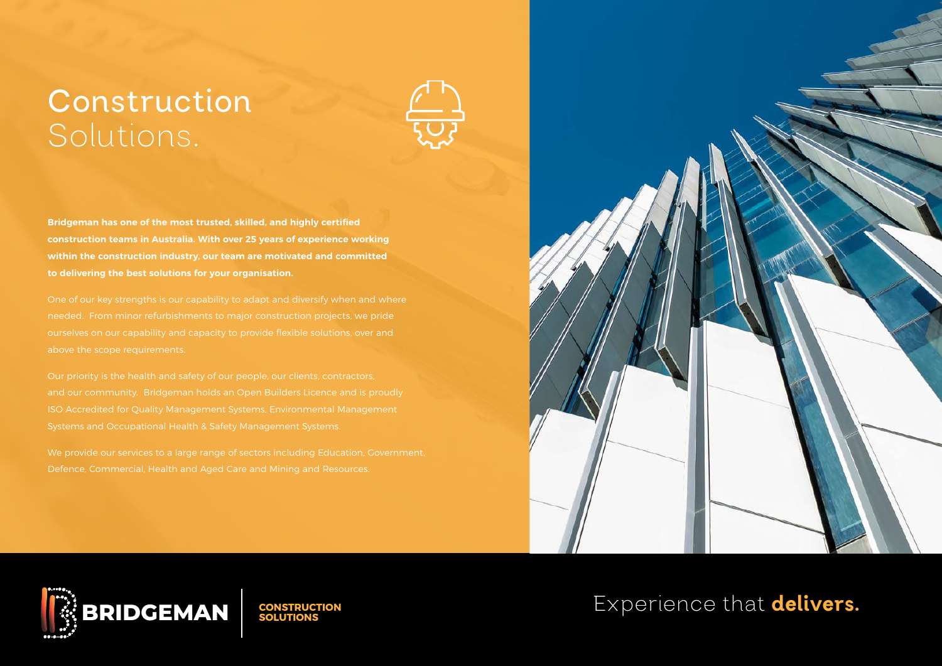## **Construction**  Solutions.



**Bridgeman has one of the most trusted, skilled, and highly certified construction teams in Australia. With over 25 years of experience working within the construction industry, our team are motivated and committed to delivering the best solutions for your organisation.** 

needed. From minor refurbishments to major construction projects, we pride

We provide our services to a large range of sectors including Education, Government, Defence, Commercial, Health and Aged Care and Mining and Resources.





Experience that delivers**.**